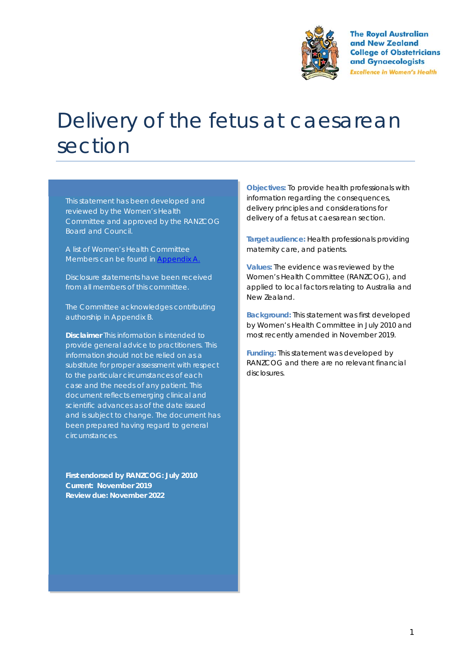

**The Royal Australian** and New Zealand **College of Obstetricians** and Gynaecologists **Excellence in Women's Health** 

# Delivery of the fetus at caesarean section

This statement has been developed and reviewed by the Women's Health Committee and approved by the RANZCOG Board and Council.

A list of Women's Health Committee Members can be found in Appendix A.

Disclosure statements have been received from all members of this committee.

The Committee acknowledges contributing authorship in Appendix B.

**Disclaimer** This information is intended to provide general advice to practitioners. This information should not be relied on as a substitute for proper assessment with respect to the particular circumstances of each case and the needs of any patient. This document reflects emerging clinical and scientific advances as of the date issued and is subject to change. The document has been prepared having regard to general circumstances.

**First endorsed by RANZCOG: July 2010 Current: November 2019 Review due: November 2022** 

**Objectives:** To provide health professionals with information regarding the consequences, delivery principles and considerations for delivery of a fetus at caesarean section.

**Target audience:** Health professionals providing maternity care, and patients.

**Values:** The evidence was reviewed by the Women's Health Committee (RANZCOG), and applied to local factors relating to Australia and New Zealand.

**Background:** This statement was first developed by Women's Health Committee in July 2010 and most recently amended in November 2019.

**Funding:** This statement was developed by RANZCOG and there are no relevant financial disclosures.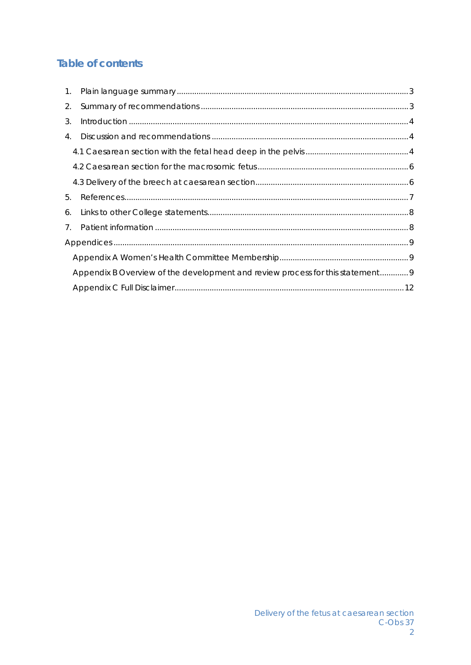# **Table of contents**

| $1_{\cdot}$ |                                                                               |  |  |  |  |
|-------------|-------------------------------------------------------------------------------|--|--|--|--|
| 2.          |                                                                               |  |  |  |  |
| 3.          |                                                                               |  |  |  |  |
| 4.          |                                                                               |  |  |  |  |
|             |                                                                               |  |  |  |  |
|             |                                                                               |  |  |  |  |
|             |                                                                               |  |  |  |  |
| 5.          |                                                                               |  |  |  |  |
| 6.          |                                                                               |  |  |  |  |
| 7.          |                                                                               |  |  |  |  |
|             |                                                                               |  |  |  |  |
|             |                                                                               |  |  |  |  |
|             | Appendix B Overview of the development and review process for this statement9 |  |  |  |  |
|             |                                                                               |  |  |  |  |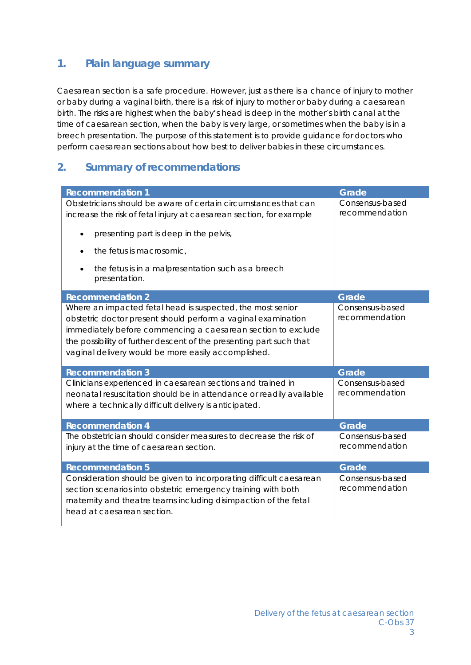# **1. Plain language summary**

Caesarean section is a safe procedure. However, just as there is a chance of injury to mother or baby during a vaginal birth, there is a risk of injury to mother or baby during a caesarean birth. The risks are highest when the baby's head is deep in the mother's birth canal at the time of caesarean section, when the baby is very large, or sometimes when the baby is in a breech presentation. The purpose of this statement is to provide guidance for doctors who perform caesarean sections about how best to deliver babies in these circumstances.

# **2. Summary of recommendations**

| <b>Recommendation 1</b>                                                                                                                                                                                                                                                                                                   | <b>Grade</b>                      |
|---------------------------------------------------------------------------------------------------------------------------------------------------------------------------------------------------------------------------------------------------------------------------------------------------------------------------|-----------------------------------|
| Obstetricians should be aware of certain circumstances that can<br>increase the risk of fetal injury at caesarean section, for example                                                                                                                                                                                    | Consensus-based<br>recommendation |
| presenting part is deep in the pelvis,<br>$\bullet$                                                                                                                                                                                                                                                                       |                                   |
| the fetus is macrosomic,                                                                                                                                                                                                                                                                                                  |                                   |
| the fetus is in a malpresentation such as a breech<br>presentation.                                                                                                                                                                                                                                                       |                                   |
| <b>Recommendation 2</b>                                                                                                                                                                                                                                                                                                   | <b>Grade</b>                      |
| Where an impacted fetal head is suspected, the most senior<br>obstetric doctor present should perform a vaginal examination<br>immediately before commencing a caesarean section to exclude<br>the possibility of further descent of the presenting part such that<br>vaginal delivery would be more easily accomplished. | Consensus-based<br>recommendation |
| <b>Recommendation 3</b>                                                                                                                                                                                                                                                                                                   | <b>Grade</b>                      |
| Clinicians experienced in caesarean sections and trained in<br>neonatal resuscitation should be in attendance or readily available<br>where a technically difficult delivery is anticipated.                                                                                                                              | Consensus-based<br>recommendation |
| <b>Recommendation 4</b>                                                                                                                                                                                                                                                                                                   | <b>Grade</b>                      |
| The obstetrician should consider measures to decrease the risk of<br>injury at the time of caesarean section.                                                                                                                                                                                                             | Consensus-based<br>recommendation |
| <b>Recommendation 5</b>                                                                                                                                                                                                                                                                                                   | Grade                             |
| Consideration should be given to incorporating difficult caesarean<br>section scenarios into obstetric emergency training with both<br>maternity and theatre teams including disimpaction of the fetal<br>head at caesarean section.                                                                                      | Consensus-based<br>recommendation |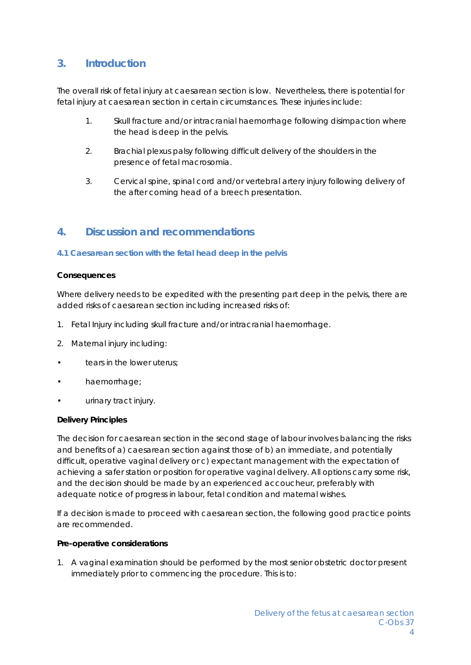# **3. Introduction**

The overall risk of fetal injury at caesarean section is low. Nevertheless, there is potential for fetal injury at caesarean section in certain circumstances. These injuries include:

- 1. Skull fracture and/or intracranial haemorrhage following disimpaction where the head is deep in the pelvis.
- 2. Brachial plexus palsy following difficult delivery of the shoulders in the presence of fetal macrosomia.
- 3. Cervical spine, spinal cord and/or vertebral artery injury following delivery of the after coming head of a breech presentation.

# **4. Discussion and recommendations**

## **4.1 Caesarean section with the fetal head deep in the pelvis**

## **Consequences**

Where delivery needs to be expedited with the presenting part deep in the pelvis, there are added risks of caesarean section including increased risks of:

- 1. Fetal Injury including skull fracture and/or intracranial haemorrhage.
- 2. Maternal injury including:
- tears in the lower uterus;
- haemorrhage;
- urinary tract injury.

#### **Delivery Principles**

The decision for caesarean section in the second stage of labour involves balancing the risks and benefits of a) caesarean section against those of b) an immediate, and potentially difficult, operative vaginal delivery or c) expectant management with the expectation of achieving a safer station or position for operative vaginal delivery. All options carry some risk, and the decision should be made by an experienced accoucheur, preferably with adequate notice of progress in labour, fetal condition and maternal wishes.

If a decision is made to proceed with caesarean section, the following good practice points are recommended.

#### **Pre-operative considerations**

1. A vaginal examination should be performed by the most senior obstetric doctor present immediately prior to commencing the procedure. This is to: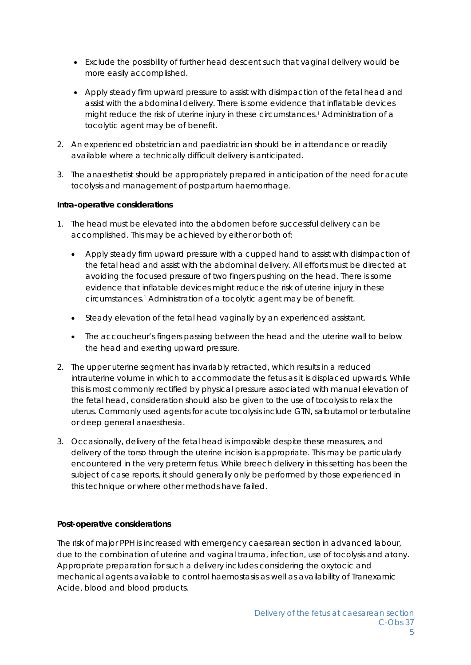- Exclude the possibility of further head descent such that vaginal delivery would be more easily accomplished.
- Apply steady firm upward pressure to assist with disimpaction of the fetal head and assist with the abdominal delivery. There is some evidence that inflatable devices might reduce the risk of uterine injury in these circumstances.1 Administration of a tocolytic agent may be of benefit.
- 2. An experienced obstetrician and paediatrician should be in attendance or readily available where a technically difficult delivery is anticipated.
- 3. The anaesthetist should be appropriately prepared in anticipation of the need for acute tocolysis and management of postpartum haemorrhage.

## **Intra-operative considerations**

- 1. The head must be elevated into the abdomen before successful delivery can be accomplished. This may be achieved by either or both of:
	- Apply steady firm upward pressure with a cupped hand to assist with disimpaction of the fetal head and assist with the abdominal delivery. All efforts must be directed at avoiding the focused pressure of two fingers pushing on the head. There is some evidence that inflatable devices might reduce the risk of uterine injury in these circumstances.1 Administration of a tocolytic agent may be of benefit.
	- Steady elevation of the fetal head vaginally by an experienced assistant.
	- The accoucheur's fingers passing between the head and the uterine wall to below the head and exerting upward pressure.
- 2. The upper uterine segment has invariably retracted, which results in a reduced intrauterine volume in which to accommodate the fetus as it is displaced upwards. While this is most commonly rectified by physical pressure associated with manual elevation of the fetal head, consideration should also be given to the use of tocolysis to relax the uterus. Commonly used agents for acute tocolysis include GTN, salbutamol or terbutaline or deep general anaesthesia.
- 3. Occasionally, delivery of the fetal head is impossible despite these measures, and delivery of the torso through the uterine incision is appropriate. This may be particularly encountered in the very preterm fetus. While breech delivery in this setting has been the subject of case reports, it should generally only be performed by those experienced in this technique or where other methods have failed.

## **Post-operative considerations**

The risk of major PPH is increased with emergency caesarean section in advanced labour, due to the combination of uterine and vaginal trauma, infection, use of tocolysis and atony. Appropriate preparation for such a delivery includes considering the oxytocic and mechanical agents available to control haemostasis as well as availability of Tranexamic Acide, blood and blood products.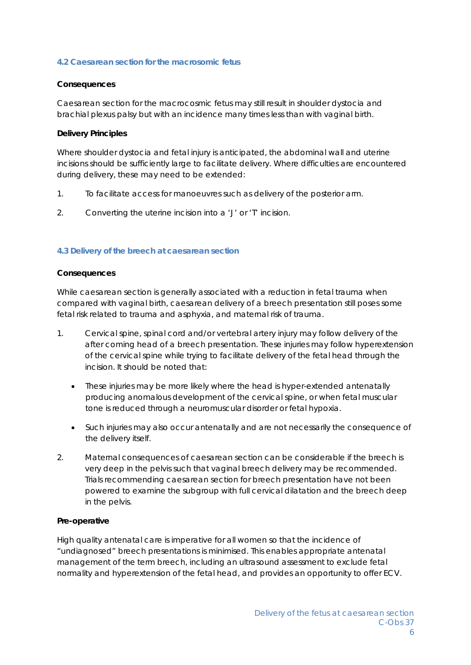#### **4.2 Caesarean section for the macrosomic fetus**

#### **Consequences**

Caesarean section for the macrocosmic fetus may still result in shoulder dystocia and brachial plexus palsy but with an incidence many times less than with vaginal birth.

#### **Delivery Principles**

Where shoulder dystocia and fetal injury is anticipated, the abdominal wall and uterine incisions should be sufficiently large to facilitate delivery. Where difficulties are encountered during delivery, these may need to be extended:

- 1. To facilitate access for manoeuvres such as delivery of the posterior arm.
- 2. Converting the uterine incision into a 'J' or 'T' incision.

#### **4.3 Delivery of the breech at caesarean section**

#### **Consequences**

While caesarean section is generally associated with a reduction in fetal trauma when compared with vaginal birth, caesarean delivery of a breech presentation still poses some fetal risk related to trauma and asphyxia, and maternal risk of trauma.

- 1. Cervical spine, spinal cord and/or vertebral artery injury may follow delivery of the after coming head of a breech presentation. These injuries may follow hyperextension of the cervical spine while trying to facilitate delivery of the fetal head through the incision. It should be noted that:
	- These injuries may be more likely where the head is hyper-extended antenatally producing anomalous development of the cervical spine, or when fetal muscular tone is reduced through a neuromuscular disorder or fetal hypoxia.
	- Such injuries may also occur antenatally and are not necessarily the consequence of the delivery itself.
- 2. Maternal consequences of caesarean section can be considerable if the breech is very deep in the pelvis such that vaginal breech delivery may be recommended. Trials recommending caesarean section for breech presentation have not been powered to examine the subgroup with full cervical dilatation and the breech deep in the pelvis.

#### **Pre-operative**

High quality antenatal care is imperative for all women so that the incidence of "undiagnosed" breech presentations is minimised. This enables appropriate antenatal management of the term breech, including an ultrasound assessment to exclude fetal normality and hyperextension of the fetal head, and provides an opportunity to offer ECV.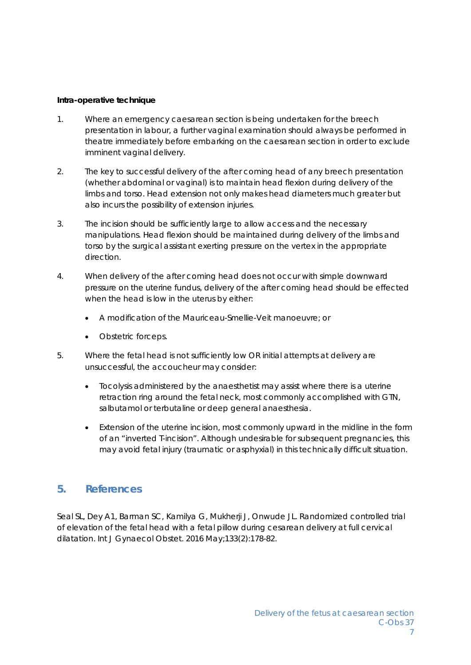#### **Intra-operative technique**

- 1. Where an emergency caesarean section is being undertaken for the breech presentation in labour, a further vaginal examination should always be performed in theatre immediately before embarking on the caesarean section in order to exclude imminent vaginal delivery.
- 2. The key to successful delivery of the after coming head of any breech presentation (whether abdominal or vaginal) is to maintain head flexion during delivery of the limbs and torso. Head extension not only makes head diameters much greater but also incurs the possibility of extension injuries.
- 3. The incision should be sufficiently large to allow access and the necessary manipulations. Head flexion should be maintained during delivery of the limbs and torso by the surgical assistant exerting pressure on the vertex in the appropriate direction.
- 4. When delivery of the after coming head does not occur with simple downward pressure on the uterine fundus, delivery of the after coming head should be effected when the head is low in the uterus by either:
	- A modification of the Mauriceau-Smellie-Veit manoeuvre; or
	- Obstetric forceps.
- 5. Where the fetal head is not sufficiently low OR initial attempts at delivery are unsuccessful, the accoucheur may consider:
	- Tocolysis administered by the anaesthetist may assist where there is a uterine retraction ring around the fetal neck, most commonly accomplished with GTN, salbutamol or terbutaline or deep general anaesthesia.
	- Extension of the uterine incision, most commonly upward in the midline in the form of an "inverted T-incision". Although undesirable for subsequent pregnancies, this may avoid fetal injury (traumatic or asphyxial) in this technically difficult situation.

# **5. References**

Seal SL, Dey A1, Barman SC, Kamilya G, Mukherji J, Onwude JL. Randomized controlled trial of elevation of the fetal head with a fetal pillow during cesarean delivery at full cervical dilatation. Int J Gynaecol Obstet. 2016 May;133(2):178-82.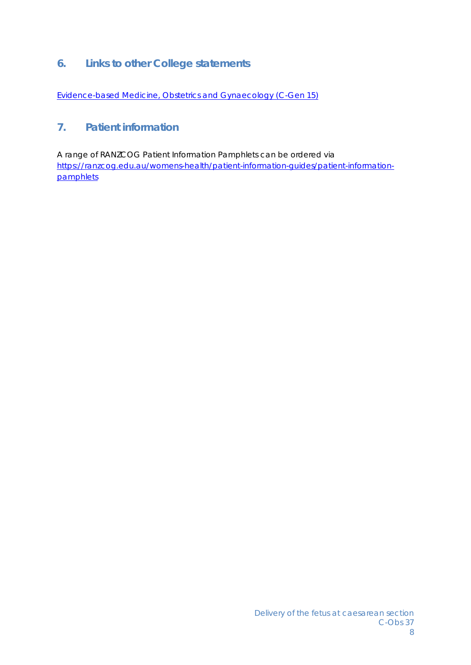# **6. Links to other College statements**

Evidence-based Medicine, Obstetrics and Gynaecology (C-Gen 15)

# **7. Patient information**

A range of RANZCOG Patient Information Pamphlets can be ordered via https://ranzcog.edu.au/womens-health/patient-information-guides/patient-information**pamphlets**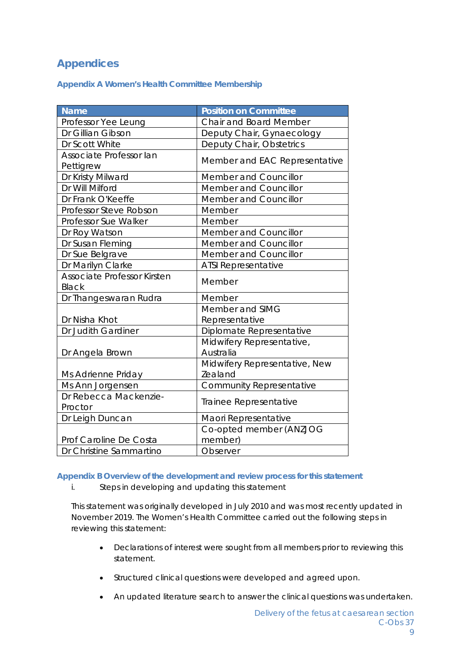# **Appendices**

## **Appendix A Women's Health Committee Membership**

| <b>Name</b>                 | <b>Position on Committee</b>    |  |
|-----------------------------|---------------------------------|--|
| Professor Yee Leung         | Chair and Board Member          |  |
| Dr Gillian Gibson           | Deputy Chair, Gynaecology       |  |
| Dr Scott White              | Deputy Chair, Obstetrics        |  |
| Associate Professor lan     | Member and EAC Representative   |  |
| Pettigrew                   |                                 |  |
| Dr Kristy Milward           | Member and Councillor           |  |
| Dr Will Milford             | Member and Councillor           |  |
| Dr Frank O'Keeffe           | Member and Councillor           |  |
| Professor Steve Robson      | Member                          |  |
| Professor Sue Walker        | Member                          |  |
| Dr Roy Watson               | Member and Councillor           |  |
| Dr Susan Fleming            | Member and Councillor           |  |
| Dr Sue Belgrave             | Member and Councillor           |  |
| Dr Marilyn Clarke           | ATSI Representative             |  |
| Associate Professor Kirsten | Member                          |  |
| <b>Black</b>                |                                 |  |
| Dr Thangeswaran Rudra       | Member                          |  |
|                             | Member and SIMG                 |  |
| Dr Nisha Khot               | Representative                  |  |
| Dr Judith Gardiner          | Diplomate Representative        |  |
|                             | Midwifery Representative,       |  |
| Dr Angela Brown             | Australia                       |  |
|                             | Midwifery Representative, New   |  |
| Ms Adrienne Priday          | <b>Zealand</b>                  |  |
| Ms Ann Jorgensen            | <b>Community Representative</b> |  |
| Dr Rebecca Mackenzie-       | Trainee Representative          |  |
| Proctor                     |                                 |  |
| Dr Leigh Duncan             | Maori Representative            |  |
|                             | Co-opted member (ANZJOG         |  |
| Prof Caroline De Costa      | member)                         |  |
| Dr Christine Sammartino     | Observer                        |  |

## **Appendix B Overview of the development and review process for this statement**

## *i. Steps in developing and updating this statement*

This statement was originally developed in July 2010 and was most recently updated in November 2019. The Women's Health Committee carried out the following steps in reviewing this statement:

- Declarations of interest were sought from all members prior to reviewing this statement.
- **•** Structured clinical questions were developed and agreed upon.
- An updated literature search to answer the clinical questions was undertaken.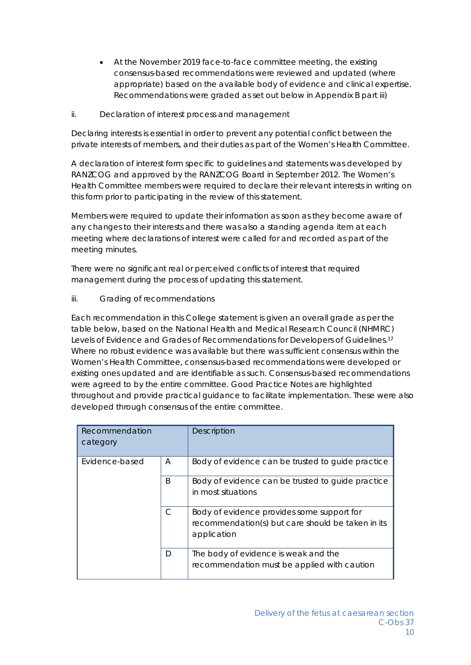At the November 2019 face-to-face committee meeting, the existing consensus-based recommendations were reviewed and updated (where appropriate) based on the available body of evidence and clinical expertise. Recommendations were graded as set out below in Appendix B part iii)

## *ii. Declaration of interest process and management*

Declaring interests is essential in order to prevent any potential conflict between the private interests of members, and their duties as part of the Women's Health Committee.

A declaration of interest form specific to guidelines and statements was developed by RANZCOG and approved by the RANZCOG Board in September 2012. The Women's Health Committee members were required to declare their relevant interests in writing on this form prior to participating in the review of this statement.

Members were required to update their information as soon as they become aware of any changes to their interests and there was also a standing agenda item at each meeting where declarations of interest were called for and recorded as part of the meeting minutes.

There were no significant real or perceived conflicts of interest that required management during the process of updating this statement.

## *iii. Grading of recommendations*

Each recommendation in this College statement is given an overall grade as per the table below, based on the National Health and Medical Research Council (NHMRC) Levels of Evidence and Grades of Recommendations for Developers of Guidelines.17 Where no robust evidence was available but there was sufficient consensus within the Women's Health Committee, consensus-based recommendations were developed or existing ones updated and are identifiable as such. Consensus-based recommendations were agreed to by the entire committee. Good Practice Notes are highlighted throughout and provide practical guidance to facilitate implementation. These were also developed through consensus of the entire committee.

| Recommendation<br>category |   | Description                                                                                                    |
|----------------------------|---|----------------------------------------------------------------------------------------------------------------|
| Evidence-based             | A | Body of evidence can be trusted to guide practice                                                              |
|                            | B | Body of evidence can be trusted to guide practice<br>in most situations                                        |
|                            | C | Body of evidence provides some support for<br>recommendation(s) but care should be taken in its<br>application |
|                            | D | The body of evidence is weak and the<br>recommendation must be applied with caution                            |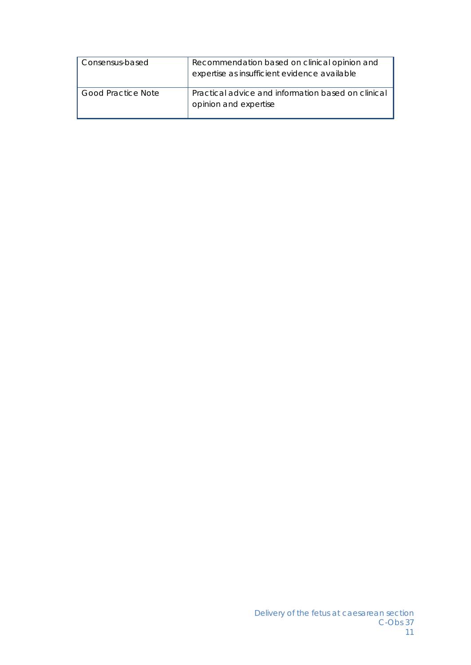| Consensus-based           | Recommendation based on clinical opinion and<br>expertise as insufficient evidence available |
|---------------------------|----------------------------------------------------------------------------------------------|
| <b>Good Practice Note</b> | Practical advice and information based on clinical<br>opinion and expertise                  |